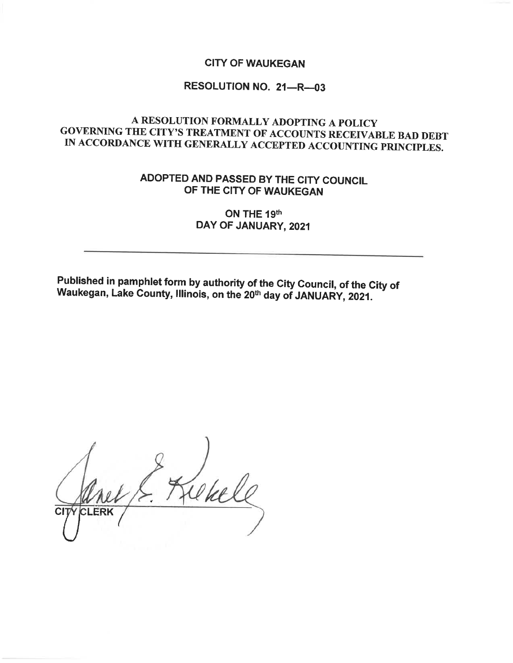#### **CITY OF WAUKEGAN**

## RESOLUTION NO. 21-R-03

# A RESOLUTION FORMALLY ADOPTING A POLICY GOVERNING THE CITY'S TREATMENT OF ACCOUNTS RECEIVABLE BAD DEBT IN ACCORDANCE WITH GENERALLY ACCEPTED ACCOUNTING PRINCIPLES.

# ADOPTED AND PASSED BY THE CITY COUNCIL OF THE CITY OF WAUKEGAN

### ON THE 19th DAY OF JANUARY, 2021

Published in pamphlet form by authority of the City Council, of the City of Waukegan, Lake County, Illinois, on the 20th day of JANUARY, 2021.

CLERK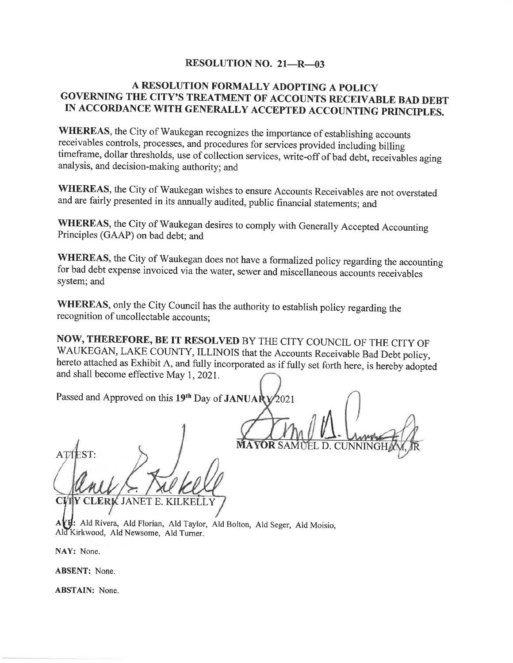#### **RESOLUTION NO. 21-R-03**

### A RESOLUTION FORMALLY ADOPTING A POLICY GOVERNING THE CITY'S TREATMENT OF ACCOUNTS RECEIVABLE BAD DEBT IN ACCORDANCE WITH GENERALLY ACCEPTED ACCOUNTING PRINCIPLES.

WHEREAS, the City of Waukegan recognizes the importance of establishing accounts receivables controls, processes, and procedures for services provided including billing timeframe, dollar thresholds, use of collection services, write-off of bad debt, receivables aging analysis, and decision-making authority; and

WHEREAS, the City of Waukegan wishes to ensure Accounts Receivables are not overstated and are fairly presented in its annually audited, public financial statements; and

WHEREAS, the City of Waukegan desires to comply with Generally Accepted Accounting Principles (GAAP) on bad debt; and

WHEREAS, the City of Waukegan does not have a formalized policy regarding the accounting for bad debt expense invoiced via the water, sewer and miscellaneous accounts receivables system; and

WHEREAS, only the City Council has the authority to establish policy regarding the recognition of uncollectable accounts;

NOW, THEREFORE, BE IT RESOLVED BY THE CITY COUNCIL OF THE CITY OF WAUKEGAN, LAKE COUNTY, ILLINOIS that the Accounts Receivable Bad Debt policy, hereto attached as Exhibit A, and fully incorporated as if fully set forth here, is hereby adopted and shall become effective May 1, 2021.

Passed and Approved on this 19th Day of JANUARY  $2021$ 

EL D. CUNNINGH

Y CLERK JANET E. KILKELL<sup>.</sup> **CVI** 

AYE: Ald Rivera, Ald Florian, Ald Taylor, Ald Bolton, Ald Seger, Ald Moisio, Ald Kirkwood, Ald Newsome, Ald Turner.

NAY: None.

**ABSENT:** None.

**ABSTAIN:** None.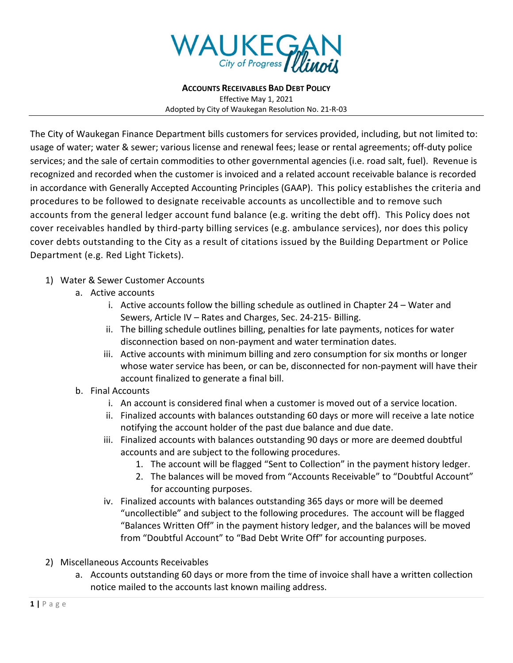

**ACCOUNTS RECEIVABLES BAD DEBT POLICY** Effective May 1, 2021 Adopted by City of Waukegan Resolution No. 21-R-03

The City of Waukegan Finance Department bills customers for services provided, including, but not limited to: usage of water; water & sewer; various license and renewal fees; lease or rental agreements; off-duty police services; and the sale of certain commodities to other governmental agencies (i.e. road salt, fuel). Revenue is recognized and recorded when the customer is invoiced and a related account receivable balance is recorded in accordance with Generally Accepted Accounting Principles (GAAP). This policy establishes the criteria and procedures to be followed to designate receivable accounts as uncollectible and to remove such accounts from the general ledger account fund balance (e.g. writing the debt off). This Policy does not cover receivables handled by third-party billing services (e.g. ambulance services), nor does this policy cover debts outstanding to the City as a result of citations issued by the Building Department or Police Department (e.g. Red Light Tickets).

#### 1) Water & Sewer Customer Accounts

- a. Active accounts
	- i. Active accounts follow the billing schedule as outlined in Chapter 24 Water and Sewers, Article IV – Rates and Charges, Sec. 24-215- Billing.
	- ii. The billing schedule outlines billing, penalties for late payments, notices for water disconnection based on non-payment and water termination dates.
	- iii. Active accounts with minimum billing and zero consumption for six months or longer whose water service has been, or can be, disconnected for non-payment will have their account finalized to generate a final bill.
- b. Final Accounts
	- i. An account is considered final when a customer is moved out of a service location.
	- ii. Finalized accounts with balances outstanding 60 days or more will receive a late notice notifying the account holder of the past due balance and due date.
	- iii. Finalized accounts with balances outstanding 90 days or more are deemed doubtful accounts and are subject to the following procedures.
		- 1. The account will be flagged "Sent to Collection" in the payment history ledger.
		- 2. The balances will be moved from "Accounts Receivable" to "Doubtful Account" for accounting purposes.
	- iv. Finalized accounts with balances outstanding 365 days or more will be deemed "uncollectible" and subject to the following procedures. The account will be flagged "Balances Written Off" in the payment history ledger, and the balances will be moved from "Doubtful Account" to "Bad Debt Write Off" for accounting purposes.
- 2) Miscellaneous Accounts Receivables
	- a. Accounts outstanding 60 days or more from the time of invoice shall have a written collection notice mailed to the accounts last known mailing address.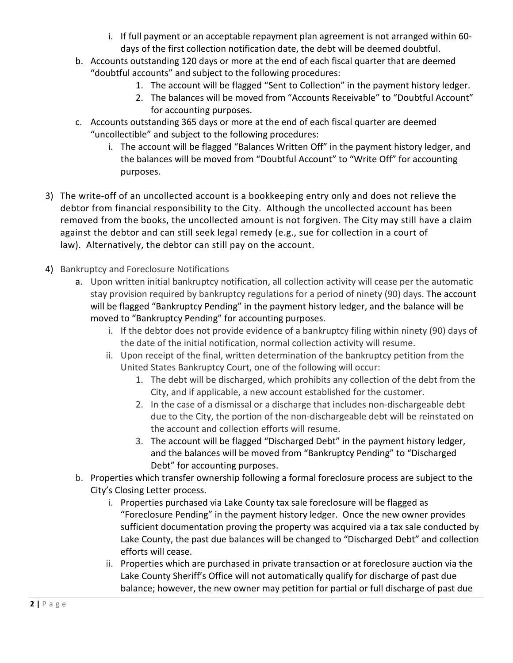- i. If full payment or an acceptable repayment plan agreement is not arranged within 60 days of the first collection notification date, the debt will be deemed doubtful.
- b. Accounts outstanding 120 days or more at the end of each fiscal quarter that are deemed "doubtful accounts" and subject to the following procedures:
	- 1. The account will be flagged "Sent to Collection" in the payment history ledger.
	- 2. The balances will be moved from "Accounts Receivable" to "Doubtful Account" for accounting purposes.
- c. Accounts outstanding 365 days or more at the end of each fiscal quarter are deemed "uncollectible" and subject to the following procedures:
	- i. The account will be flagged "Balances Written Off" in the payment history ledger, and the balances will be moved from "Doubtful Account" to "Write Off" for accounting purposes.
- 3) The write-off of an uncollected account is a bookkeeping entry only and does not relieve the debtor from financial responsibility to the City. Although the uncollected account has been removed from the books, the uncollected amount is not forgiven. The City may still have a claim against the debtor and can still seek legal remedy (e.g., sue for collection in a court of law). Alternatively, the debtor can still pay on the account.
- 4) Bankruptcy and Foreclosure Notifications
	- a. Upon written initial bankruptcy notification, all collection activity will cease per the automatic stay provision required by bankruptcy regulations for a period of ninety (90) days. The account will be flagged "Bankruptcy Pending" in the payment history ledger, and the balance will be moved to "Bankruptcy Pending" for accounting purposes.
		- i. If the debtor does not provide evidence of a bankruptcy filing within ninety (90) days of the date of the initial notification, normal collection activity will resume.
		- ii. Upon receipt of the final, written determination of the bankruptcy petition from the United States Bankruptcy Court, one of the following will occur:
			- 1. The debt will be discharged, which prohibits any collection of the debt from the City, and if applicable, a new account established for the customer.
			- 2. In the case of a dismissal or a discharge that includes non-dischargeable debt due to the City, the portion of the non-dischargeable debt will be reinstated on the account and collection efforts will resume.
			- 3. The account will be flagged "Discharged Debt" in the payment history ledger, and the balances will be moved from "Bankruptcy Pending" to "Discharged Debt" for accounting purposes.
	- b. Properties which transfer ownership following a formal foreclosure process are subject to the City's Closing Letter process.
		- i. Properties purchased via Lake County tax sale foreclosure will be flagged as "Foreclosure Pending" in the payment history ledger. Once the new owner provides sufficient documentation proving the property was acquired via a tax sale conducted by Lake County, the past due balances will be changed to "Discharged Debt" and collection efforts will cease.
		- ii. Properties which are purchased in private transaction or at foreclosure auction via the Lake County Sheriff's Office will not automatically qualify for discharge of past due balance; however, the new owner may petition for partial or full discharge of past due